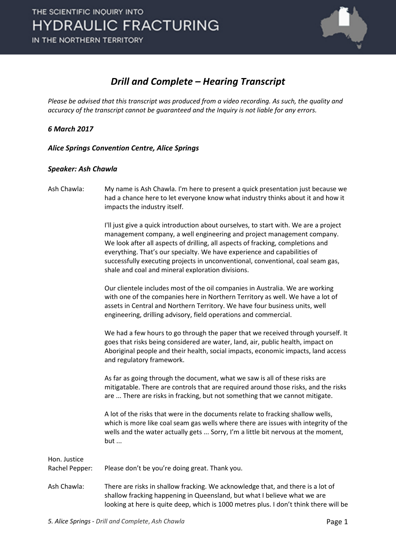

### *Drill and Complete – Hearing Transcript*

*Please be advised that this transcript was produced from a video recording. As such, the quality and accuracy of the transcript cannot be guaranteed and the Inquiry is not liable for any errors.*

*6 March 2017* 

*Alice Springs Convention Centre, Alice Springs* 

#### *Speaker: Ash Chawla*

| Ash Chawla:                    | My name is Ash Chawla. I'm here to present a quick presentation just because we<br>had a chance here to let everyone know what industry thinks about it and how it<br>impacts the industry itself.                                                                                                                                                                                                                                                                    |
|--------------------------------|-----------------------------------------------------------------------------------------------------------------------------------------------------------------------------------------------------------------------------------------------------------------------------------------------------------------------------------------------------------------------------------------------------------------------------------------------------------------------|
|                                | I'll just give a quick introduction about ourselves, to start with. We are a project<br>management company, a well engineering and project management company.<br>We look after all aspects of drilling, all aspects of fracking, completions and<br>everything. That's our specialty. We have experience and capabilities of<br>successfully executing projects in unconventional, conventional, coal seam gas,<br>shale and coal and mineral exploration divisions. |
|                                | Our clientele includes most of the oil companies in Australia. We are working<br>with one of the companies here in Northern Territory as well. We have a lot of<br>assets in Central and Northern Territory. We have four business units, well<br>engineering, drilling advisory, field operations and commercial.                                                                                                                                                    |
|                                | We had a few hours to go through the paper that we received through yourself. It<br>goes that risks being considered are water, land, air, public health, impact on<br>Aboriginal people and their health, social impacts, economic impacts, land access<br>and regulatory framework.                                                                                                                                                                                 |
|                                | As far as going through the document, what we saw is all of these risks are<br>mitigatable. There are controls that are required around those risks, and the risks<br>are  There are risks in fracking, but not something that we cannot mitigate.                                                                                                                                                                                                                    |
|                                | A lot of the risks that were in the documents relate to fracking shallow wells,<br>which is more like coal seam gas wells where there are issues with integrity of the<br>wells and the water actually gets  Sorry, I'm a little bit nervous at the moment,<br>but                                                                                                                                                                                                    |
| Hon. Justice<br>Rachel Pepper: | Please don't be you're doing great. Thank you.                                                                                                                                                                                                                                                                                                                                                                                                                        |
| Ash Chawla:                    | There are risks in shallow fracking. We acknowledge that, and there is a lot of<br>shallow fracking happening in Queensland, but what I believe what we are<br>looking at here is quite deep, which is 1000 metres plus. I don't think there will be                                                                                                                                                                                                                  |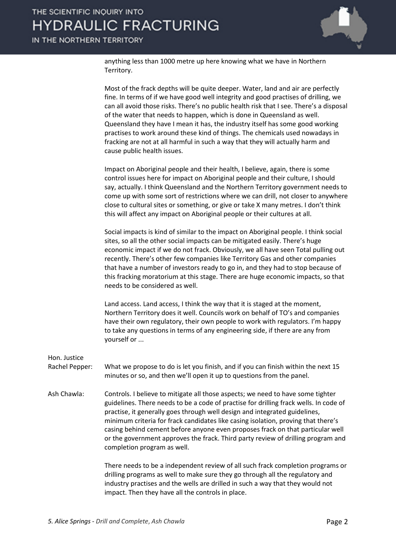anything less than 1000 metre up here knowing what we have in Northern Territory.

|                                | Most of the frack depths will be quite deeper. Water, land and air are perfectly<br>fine. In terms of if we have good well integrity and good practises of drilling, we<br>can all avoid those risks. There's no public health risk that I see. There's a disposal<br>of the water that needs to happen, which is done in Queensland as well.<br>Queensland they have I mean it has, the industry itself has some good working<br>practises to work around these kind of things. The chemicals used nowadays in<br>fracking are not at all harmful in such a way that they will actually harm and<br>cause public health issues. |
|--------------------------------|----------------------------------------------------------------------------------------------------------------------------------------------------------------------------------------------------------------------------------------------------------------------------------------------------------------------------------------------------------------------------------------------------------------------------------------------------------------------------------------------------------------------------------------------------------------------------------------------------------------------------------|
|                                | Impact on Aboriginal people and their health, I believe, again, there is some<br>control issues here for impact on Aboriginal people and their culture, I should<br>say, actually. I think Queensland and the Northern Territory government needs to<br>come up with some sort of restrictions where we can drill, not closer to anywhere<br>close to cultural sites or something, or give or take X many metres. I don't think<br>this will affect any impact on Aboriginal people or their cultures at all.                                                                                                                    |
|                                | Social impacts is kind of similar to the impact on Aboriginal people. I think social<br>sites, so all the other social impacts can be mitigated easily. There's huge<br>economic impact if we do not frack. Obviously, we all have seen Total pulling out<br>recently. There's other few companies like Territory Gas and other companies<br>that have a number of investors ready to go in, and they had to stop because of<br>this fracking moratorium at this stage. There are huge economic impacts, so that<br>needs to be considered as well.                                                                              |
|                                | Land access. Land access, I think the way that it is staged at the moment,<br>Northern Territory does it well. Councils work on behalf of TO's and companies<br>have their own regulatory, their own people to work with regulators. I'm happy<br>to take any questions in terms of any engineering side, if there are any from<br>yourself or                                                                                                                                                                                                                                                                                   |
| Hon. Justice<br>Rachel Pepper: | What we propose to do is let you finish, and if you can finish within the next 15                                                                                                                                                                                                                                                                                                                                                                                                                                                                                                                                                |
|                                | minutes or so, and then we'll open it up to questions from the panel.                                                                                                                                                                                                                                                                                                                                                                                                                                                                                                                                                            |
| Ash Chawla:                    | Controls. I believe to mitigate all those aspects; we need to have some tighter<br>guidelines. There needs to be a code of practise for drilling frack wells. In code of<br>practise, it generally goes through well design and integrated guidelines,<br>minimum criteria for frack candidates like casing isolation, proving that there's<br>casing behind cement before anyone even proposes frack on that particular well<br>or the government approves the frack. Third party review of drilling program and<br>completion program as well.                                                                                 |
|                                | There needs to be a independent review of all such frack completion programs or<br>drilling programs as well to make sure they go through all the regulatory and                                                                                                                                                                                                                                                                                                                                                                                                                                                                 |

drilling programs as well to make sure they go through all the regulatory and industry practises and the wells are drilled in such a way that they would not impact. Then they have all the controls in place.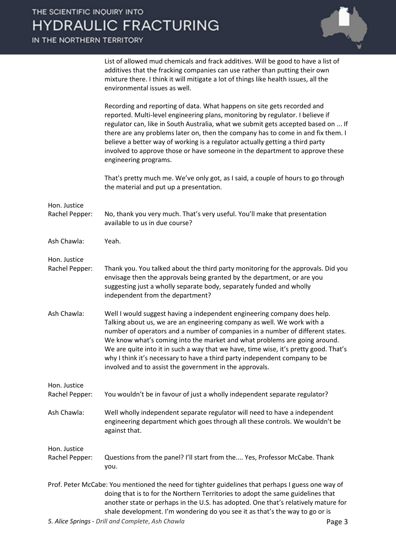IN

| <u>IME NORTHERN TERRITORY</u>  |                                                                                                                                                                                                                                                                                                                                                                                                                                                                                                                                                     |
|--------------------------------|-----------------------------------------------------------------------------------------------------------------------------------------------------------------------------------------------------------------------------------------------------------------------------------------------------------------------------------------------------------------------------------------------------------------------------------------------------------------------------------------------------------------------------------------------------|
|                                | List of allowed mud chemicals and frack additives. Will be good to have a list of<br>additives that the fracking companies can use rather than putting their own<br>mixture there. I think it will mitigate a lot of things like health issues, all the<br>environmental issues as well.                                                                                                                                                                                                                                                            |
|                                | Recording and reporting of data. What happens on site gets recorded and<br>reported. Multi-level engineering plans, monitoring by regulator. I believe if<br>regulator can, like in South Australia, what we submit gets accepted based on  If<br>there are any problems later on, then the company has to come in and fix them. I<br>believe a better way of working is a regulator actually getting a third party<br>involved to approve those or have someone in the department to approve these<br>engineering programs.                        |
|                                | That's pretty much me. We've only got, as I said, a couple of hours to go through<br>the material and put up a presentation.                                                                                                                                                                                                                                                                                                                                                                                                                        |
| Hon. Justice<br>Rachel Pepper: | No, thank you very much. That's very useful. You'll make that presentation<br>available to us in due course?                                                                                                                                                                                                                                                                                                                                                                                                                                        |
| Ash Chawla:                    | Yeah.                                                                                                                                                                                                                                                                                                                                                                                                                                                                                                                                               |
| Hon. Justice<br>Rachel Pepper: | Thank you. You talked about the third party monitoring for the approvals. Did you<br>envisage then the approvals being granted by the department, or are you<br>suggesting just a wholly separate body, separately funded and wholly<br>independent from the department?                                                                                                                                                                                                                                                                            |
| Ash Chawla:                    | Well I would suggest having a independent engineering company does help.<br>Talking about us, we are an engineering company as well. We work with a<br>number of operators and a number of companies in a number of different states.<br>We know what's coming into the market and what problems are going around.<br>We are quite into it in such a way that we have, time wise, it's pretty good. That's<br>why I think it's necessary to have a third party independent company to be<br>involved and to assist the government in the approvals. |
| Hon. Justice<br>Rachel Pepper: | You wouldn't be in favour of just a wholly independent separate regulator?                                                                                                                                                                                                                                                                                                                                                                                                                                                                          |
| Ash Chawla:                    | Well wholly independent separate regulator will need to have a independent<br>engineering department which goes through all these controls. We wouldn't be<br>against that.                                                                                                                                                                                                                                                                                                                                                                         |
| Hon. Justice<br>Rachel Pepper: | Questions from the panel? I'll start from the Yes, Professor McCabe. Thank<br>you.                                                                                                                                                                                                                                                                                                                                                                                                                                                                  |
|                                | Prof. Peter McCabe: You mentioned the need for tighter guidelines that perhaps I guess one way of<br>doing that is to for the Northern Territories to adopt the same guidelines that<br>another state or perhaps in the U.S. has adopted. One that's relatively mature for<br>shale development. I'm wondering do you see it as that's the way to go or is                                                                                                                                                                                          |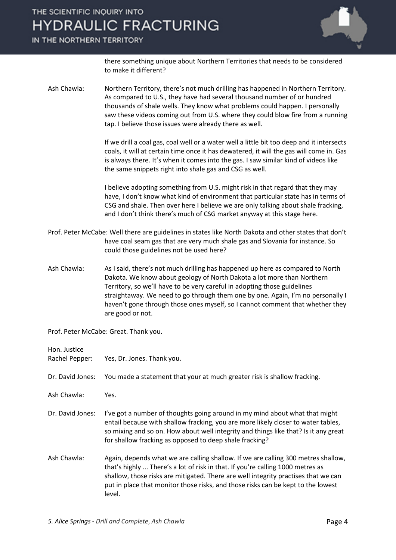#### IN THE NORTHERN TERRITORY



there something unique about Northern Territories that needs to be considered to make it different?

Ash Chawla: Northern Territory, there's not much drilling has happened in Northern Territory. As compared to U.S., they have had several thousand number of or hundred thousands of shale wells. They know what problems could happen. I personally saw these videos coming out from U.S. where they could blow fire from a running tap. I believe those issues were already there as well.

> If we drill a coal gas, coal well or a water well a little bit too deep and it intersects coals, it will at certain time once it has dewatered, it will the gas will come in. Gas is always there. It's when it comes into the gas. I saw similar kind of videos like the same snippets right into shale gas and CSG as well.

> I believe adopting something from U.S. might risk in that regard that they may have, I don't know what kind of environment that particular state has in terms of CSG and shale. Then over here I believe we are only talking about shale fracking, and I don't think there's much of CSG market anyway at this stage here.

- Prof. Peter McCabe: Well there are guidelines in states like North Dakota and other states that don't have coal seam gas that are very much shale gas and Slovania for instance. So could those guidelines not be used here?
- Ash Chawla: As I said, there's not much drilling has happened up here as compared to North Dakota. We know about geology of North Dakota a lot more than Northern Territory, so we'll have to be very careful in adopting those guidelines straightaway. We need to go through them one by one. Again, I'm no personally I haven't gone through those ones myself, so I cannot comment that whether they are good or not.

Prof. Peter McCabe: Great. Thank you.

| Hon. Justice<br>Rachel Pepper: | Yes, Dr. Jones. Thank you.                                                                                                                                                                                                                                                                                                                              |
|--------------------------------|---------------------------------------------------------------------------------------------------------------------------------------------------------------------------------------------------------------------------------------------------------------------------------------------------------------------------------------------------------|
| Dr. David Jones:               | You made a statement that your at much greater risk is shallow fracking.                                                                                                                                                                                                                                                                                |
| Ash Chawla:                    | Yes.                                                                                                                                                                                                                                                                                                                                                    |
| Dr. David Jones:               | I've got a number of thoughts going around in my mind about what that might<br>entail because with shallow fracking, you are more likely closer to water tables,<br>so mixing and so on. How about well integrity and things like that? Is it any great<br>for shallow fracking as opposed to deep shale fracking?                                      |
| Ash Chawla:                    | Again, depends what we are calling shallow. If we are calling 300 metres shallow,<br>that's highly  There's a lot of risk in that. If you're calling 1000 metres as<br>shallow, those risks are mitigated. There are well integrity practises that we can<br>put in place that monitor those risks, and those risks can be kept to the lowest<br>level. |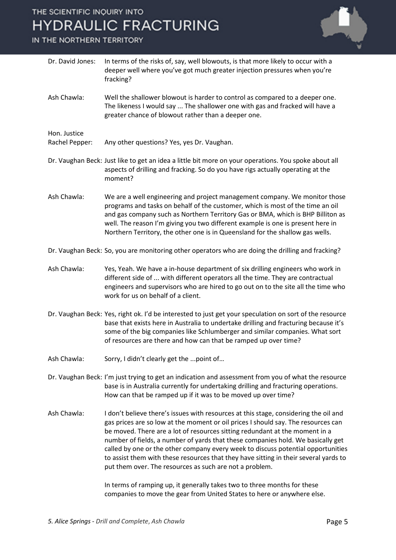#### IN THE NORTHERN TERRITORY



| Dr. David Jones:               | In terms of the risks of, say, well blowouts, is that more likely to occur with a<br>deeper well where you've got much greater injection pressures when you're<br>fracking?                                                                                                                                                                                                                                                                                                                                                                                                                                                                                    |
|--------------------------------|----------------------------------------------------------------------------------------------------------------------------------------------------------------------------------------------------------------------------------------------------------------------------------------------------------------------------------------------------------------------------------------------------------------------------------------------------------------------------------------------------------------------------------------------------------------------------------------------------------------------------------------------------------------|
| Ash Chawla:                    | Well the shallower blowout is harder to control as compared to a deeper one.<br>The likeness I would say  The shallower one with gas and fracked will have a<br>greater chance of blowout rather than a deeper one.                                                                                                                                                                                                                                                                                                                                                                                                                                            |
| Hon. Justice<br>Rachel Pepper: | Any other questions? Yes, yes Dr. Vaughan.                                                                                                                                                                                                                                                                                                                                                                                                                                                                                                                                                                                                                     |
|                                | Dr. Vaughan Beck: Just like to get an idea a little bit more on your operations. You spoke about all<br>aspects of drilling and fracking. So do you have rigs actually operating at the<br>moment?                                                                                                                                                                                                                                                                                                                                                                                                                                                             |
| Ash Chawla:                    | We are a well engineering and project management company. We monitor those<br>programs and tasks on behalf of the customer, which is most of the time an oil<br>and gas company such as Northern Territory Gas or BMA, which is BHP Billiton as<br>well. The reason I'm giving you two different example is one is present here in<br>Northern Territory, the other one is in Queensland for the shallow gas wells.                                                                                                                                                                                                                                            |
|                                | Dr. Vaughan Beck: So, you are monitoring other operators who are doing the drilling and fracking?                                                                                                                                                                                                                                                                                                                                                                                                                                                                                                                                                              |
| Ash Chawla:                    | Yes, Yeah. We have a in-house department of six drilling engineers who work in<br>different side of  with different operators all the time. They are contractual<br>engineers and supervisors who are hired to go out on to the site all the time who<br>work for us on behalf of a client.                                                                                                                                                                                                                                                                                                                                                                    |
|                                | Dr. Vaughan Beck: Yes, right ok. I'd be interested to just get your speculation on sort of the resource<br>base that exists here in Australia to undertake drilling and fracturing because it's<br>some of the big companies like Schlumberger and similar companies. What sort<br>of resources are there and how can that be ramped up over time?                                                                                                                                                                                                                                                                                                             |
| Ash Chawla:                    | Sorry, I didn't clearly get the  point of                                                                                                                                                                                                                                                                                                                                                                                                                                                                                                                                                                                                                      |
|                                | Dr. Vaughan Beck: I'm just trying to get an indication and assessment from you of what the resource<br>base is in Australia currently for undertaking drilling and fracturing operations.<br>How can that be ramped up if it was to be moved up over time?                                                                                                                                                                                                                                                                                                                                                                                                     |
| Ash Chawla:                    | I don't believe there's issues with resources at this stage, considering the oil and<br>gas prices are so low at the moment or oil prices I should say. The resources can<br>be moved. There are a lot of resources sitting redundant at the moment in a<br>number of fields, a number of yards that these companies hold. We basically get<br>called by one or the other company every week to discuss potential opportunities<br>to assist them with these resources that they have sitting in their several yards to<br>put them over. The resources as such are not a problem.<br>In terms of ramping up, it generally takes two to three months for these |
|                                | companies to move the gear from United States to here or anywhere else.                                                                                                                                                                                                                                                                                                                                                                                                                                                                                                                                                                                        |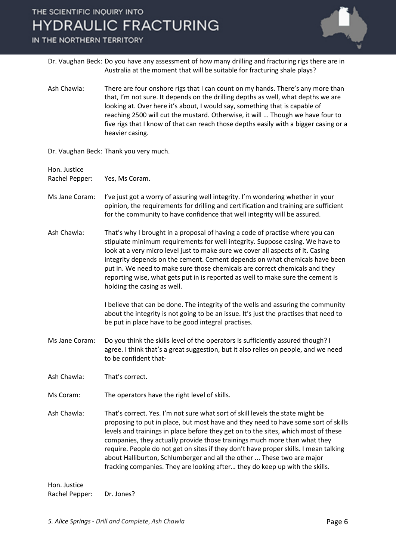

IN THE NORTHERN TERRITORY

- Dr. Vaughan Beck: Do you have any assessment of how many drilling and fracturing rigs there are in Australia at the moment that will be suitable for fracturing shale plays?
- Ash Chawla: There are four onshore rigs that I can count on my hands. There's any more than that, I'm not sure. It depends on the drilling depths as well, what depths we are looking at. Over here it's about, I would say, something that is capable of reaching 2500 will cut the mustard. Otherwise, it will ... Though we have four to five rigs that I know of that can reach those depths easily with a bigger casing or a heavier casing.

Dr. Vaughan Beck: Thank you very much.

Hon. Justice

Rachel Pepper: Yes, Ms Coram.

- Ms Jane Coram: I've just got a worry of assuring well integrity. I'm wondering whether in your opinion, the requirements for drilling and certification and training are sufficient for the community to have confidence that well integrity will be assured.
- Ash Chawla: That's why I brought in a proposal of having a code of practise where you can stipulate minimum requirements for well integrity. Suppose casing. We have to look at a very micro level just to make sure we cover all aspects of it. Casing integrity depends on the cement. Cement depends on what chemicals have been put in. We need to make sure those chemicals are correct chemicals and they reporting wise, what gets put in is reported as well to make sure the cement is holding the casing as well.

I believe that can be done. The integrity of the wells and assuring the community about the integrity is not going to be an issue. It's just the practises that need to be put in place have to be good integral practises.

- Ms Jane Coram: Do you think the skills level of the operators is sufficiently assured though? I agree. I think that's a great suggestion, but it also relies on people, and we need to be confident that-
- Ash Chawla: That's correct.
- Ms Coram: The operators have the right level of skills.
- Ash Chawla: That's correct. Yes. I'm not sure what sort of skill levels the state might be proposing to put in place, but most have and they need to have some sort of skills levels and trainings in place before they get on to the sites, which most of these companies, they actually provide those trainings much more than what they require. People do not get on sites if they don't have proper skills. I mean talking about Halliburton, Schlumberger and all the other ... These two are major fracking companies. They are looking after… they do keep up with the skills.

Hon. Justice Rachel Pepper: Dr. Jones?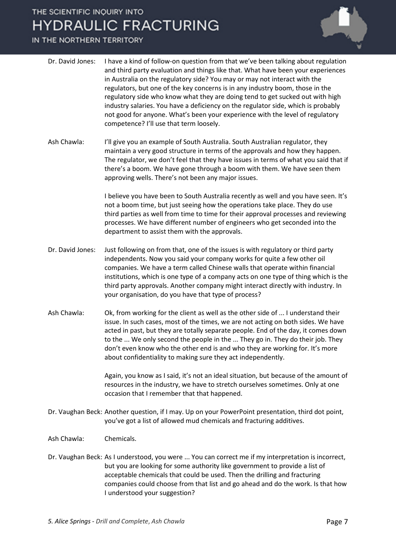#### IN THE NORTHERN TERRITORY



| Dr. David Jones: | I have a kind of follow-on question from that we've been talking about regulation |
|------------------|-----------------------------------------------------------------------------------|
|                  | and third party evaluation and things like that. What have been your experiences  |
|                  | in Australia on the regulatory side? You may or may not interact with the         |
|                  | regulators, but one of the key concerns is in any industry boom, those in the     |
|                  | regulatory side who know what they are doing tend to get sucked out with high     |
|                  | industry salaries. You have a deficiency on the regulator side, which is probably |
|                  | not good for anyone. What's been your experience with the level of regulatory     |
|                  | competence? I'll use that term loosely.                                           |

Ash Chawla: I'll give you an example of South Australia. South Australian regulator, they maintain a very good structure in terms of the approvals and how they happen. The regulator, we don't feel that they have issues in terms of what you said that if there's a boom. We have gone through a boom with them. We have seen them approving wells. There's not been any major issues.

> I believe you have been to South Australia recently as well and you have seen. It's not a boom time, but just seeing how the operations take place. They do use third parties as well from time to time for their approval processes and reviewing processes. We have different number of engineers who get seconded into the department to assist them with the approvals.

- Dr. David Jones: Just following on from that, one of the issues is with regulatory or third party independents. Now you said your company works for quite a few other oil companies. We have a term called Chinese walls that operate within financial institutions, which is one type of a company acts on one type of thing which is the third party approvals. Another company might interact directly with industry. In your organisation, do you have that type of process?
- Ash Chawla: Ok, from working for the client as well as the other side of ... I understand their issue. In such cases, most of the times, we are not acting on both sides. We have acted in past, but they are totally separate people. End of the day, it comes down to the ... We only second the people in the ... They go in. They do their job. They don't even know who the other end is and who they are working for. It's more about confidentiality to making sure they act independently.

Again, you know as I said, it's not an ideal situation, but because of the amount of resources in the industry, we have to stretch ourselves sometimes. Only at one occasion that I remember that that happened.

- Dr. Vaughan Beck: Another question, if I may. Up on your PowerPoint presentation, third dot point, you've got a list of allowed mud chemicals and fracturing additives.
- Ash Chawla: Chemicals.
- Dr. Vaughan Beck: As I understood, you were ... You can correct me if my interpretation is incorrect, but you are looking for some authority like government to provide a list of acceptable chemicals that could be used. Then the drilling and fracturing companies could choose from that list and go ahead and do the work. Is that how I understood your suggestion?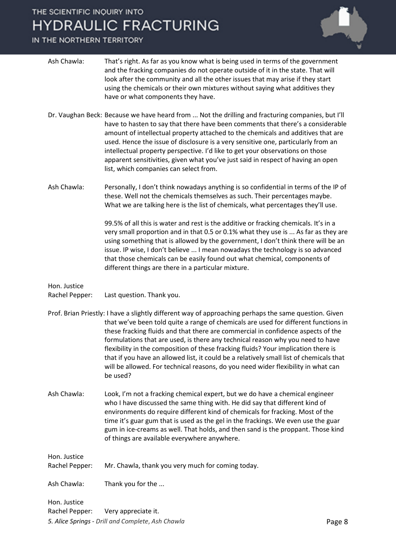#### IN THE NORTHERN TERRITORY

| Ash Chawla:                    | That's right. As far as you know what is being used in terms of the government<br>and the fracking companies do not operate outside of it in the state. That will<br>look after the community and all the other issues that may arise if they start<br>using the chemicals or their own mixtures without saying what additives they<br>have or what components they have.                                                                                                                                                                                                                                                                            |        |
|--------------------------------|------------------------------------------------------------------------------------------------------------------------------------------------------------------------------------------------------------------------------------------------------------------------------------------------------------------------------------------------------------------------------------------------------------------------------------------------------------------------------------------------------------------------------------------------------------------------------------------------------------------------------------------------------|--------|
|                                | Dr. Vaughan Beck: Because we have heard from  Not the drilling and fracturing companies, but I'll<br>have to hasten to say that there have been comments that there's a considerable<br>amount of intellectual property attached to the chemicals and additives that are<br>used. Hence the issue of disclosure is a very sensitive one, particularly from an<br>intellectual property perspective. I'd like to get your observations on those<br>apparent sensitivities, given what you've just said in respect of having an open<br>list, which companies can select from.                                                                         |        |
| Ash Chawla:                    | Personally, I don't think nowadays anything is so confidential in terms of the IP of<br>these. Well not the chemicals themselves as such. Their percentages maybe.<br>What we are talking here is the list of chemicals, what percentages they'll use.                                                                                                                                                                                                                                                                                                                                                                                               |        |
|                                | 99.5% of all this is water and rest is the additive or fracking chemicals. It's in a<br>very small proportion and in that 0.5 or 0.1% what they use is  As far as they are<br>using something that is allowed by the government, I don't think there will be an<br>issue. IP wise, I don't believe  I mean nowadays the technology is so advanced<br>that those chemicals can be easily found out what chemical, components of<br>different things are there in a particular mixture.                                                                                                                                                                |        |
| Hon. Justice<br>Rachel Pepper: | Last question. Thank you.                                                                                                                                                                                                                                                                                                                                                                                                                                                                                                                                                                                                                            |        |
|                                | Prof. Brian Priestly: I have a slightly different way of approaching perhaps the same question. Given<br>that we've been told quite a range of chemicals are used for different functions in<br>these fracking fluids and that there are commercial in confidence aspects of the<br>formulations that are used, is there any technical reason why you need to have<br>flexibility in the composition of these fracking fluids? Your implication there is<br>that if you have an allowed list, it could be a relatively small list of chemicals that<br>will be allowed. For technical reasons, do you need wider flexibility in what can<br>be used? |        |
| Ash Chawla:                    | Look, I'm not a fracking chemical expert, but we do have a chemical engineer<br>who I have discussed the same thing with. He did say that different kind of<br>environments do require different kind of chemicals for fracking. Most of the<br>time it's guar gum that is used as the gel in the frackings. We even use the guar<br>gum in ice-creams as well. That holds, and then sand is the proppant. Those kind<br>of things are available everywhere anywhere.                                                                                                                                                                                |        |
| Hon. Justice<br>Rachel Pepper: | Mr. Chawla, thank you very much for coming today.                                                                                                                                                                                                                                                                                                                                                                                                                                                                                                                                                                                                    |        |
| Ash Chawla:                    | Thank you for the                                                                                                                                                                                                                                                                                                                                                                                                                                                                                                                                                                                                                                    |        |
| Hon. Justice                   |                                                                                                                                                                                                                                                                                                                                                                                                                                                                                                                                                                                                                                                      |        |
| Rachel Pepper:                 | Very appreciate it.                                                                                                                                                                                                                                                                                                                                                                                                                                                                                                                                                                                                                                  |        |
|                                | 5. Alice Springs - Drill and Complete, Ash Chawla                                                                                                                                                                                                                                                                                                                                                                                                                                                                                                                                                                                                    | Page 8 |